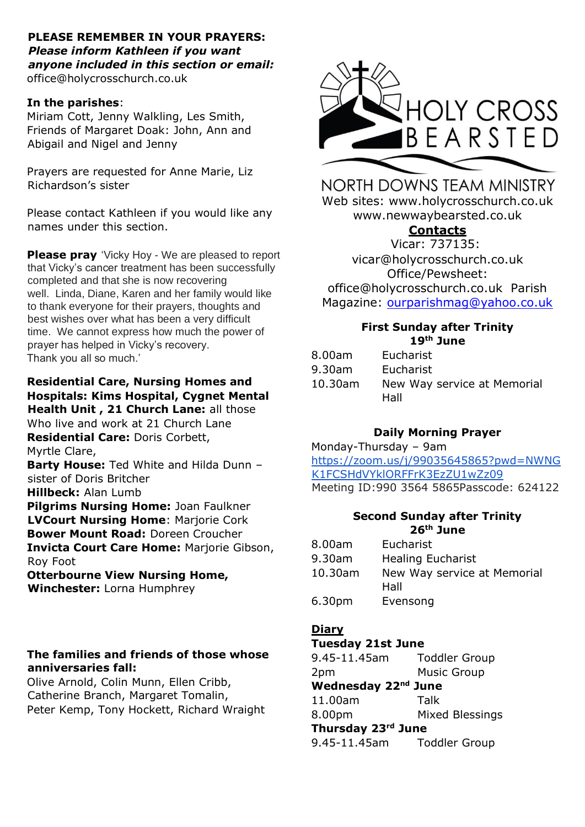#### **PLEASE REMEMBER IN YOUR PRAYERS:**  *Please inform Kathleen if you want anyone included in this section or email:*  office@holycrosschurch.co.uk

#### **In the parishes**:

Miriam Cott, Jenny Walkling, Les Smith, Friends of Margaret Doak: John, Ann and Abigail and Nigel and Jenny

Prayers are requested for Anne Marie, Liz Richardson's sister

Please contact Kathleen if you would like any names under this section.

**Please pray** 'Vicky Hoy - We are pleased to report that Vicky's cancer treatment has been successfully completed and that she is now recovering well. Linda, Diane, Karen and her family would like to thank everyone for their prayers, thoughts and best wishes over what has been a very difficult time. We cannot express how much the power of prayer has helped in Vicky's recovery. Thank you all so much.'

#### **Residential Care, Nursing Homes and Hospitals: Kims Hospital, Cygnet Mental Health Unit , 21 Church Lane:** all those

Who live and work at 21 Church Lane **Residential Care:** Doris Corbett, Myrtle Clare, **Barty House:** Ted White and Hilda Dunn – sister of Doris Britcher **Hillbeck:** Alan Lumb **Pilgrims Nursing Home:** Joan Faulkner **LVCourt Nursing Home: Mariorie Cork Bower Mount Road:** Doreen Croucher **Invicta Court Care Home:** Marjorie Gibson, Roy Foot **Otterbourne View Nursing Home,** 

**Winchester:** Lorna Humphrey

### **The families and friends of those whose anniversaries fall:**

Olive Arnold, Colin Munn, Ellen Cribb, Catherine Branch, Margaret Tomalin, Peter Kemp, Tony Hockett, Richard Wraight



NORTH DOWNS TEAM MINISTRY Web sites: www.holycrosschurch.co.uk

www.newwaybearsted.co.uk

# **Contacts**

Vicar: 737135: vicar@holycrosschurch.co.uk Office/Pewsheet: office@holycrosschurch.co.uk Parish Magazine: [ourparishmag@yahoo.co.uk](mailto:ourparishmag@yahoo.co.uk)

#### **First Sunday after Trinity 19th June**

| 8.00am  | Eucharist                   |
|---------|-----------------------------|
| 9.30am  | Eucharist                   |
| 10.30am | New Way service at Memorial |
|         | Hall                        |

# **Daily Morning Prayer**

Monday-Thursday – 9am [https://zoom.us/j/99035645865?pwd=NWNG](https://zoom.us/j/99035645865?pwd=NWNGK1FCSHdVYklORFFrK3EzZU1wZz09) [K1FCSHdVYklORFFrK3EzZU1wZz09](https://zoom.us/j/99035645865?pwd=NWNGK1FCSHdVYklORFFrK3EzZU1wZz09) Meeting ID:990 3564 5865Passcode: 624122

### **Second Sunday after Trinity 26th June**

| 8.00am  | Eucharist                   |
|---------|-----------------------------|
| 9.30am  | <b>Healing Eucharist</b>    |
| 10.30am | New Way service at Memorial |
|         | Hall                        |
| 6.30pm  | Evensong                    |

## **Diary**

## **Tuesday 21st June**

9.45-11.45am Toddler Group 2pm Music Group **Wednesday 22nd June** 11.00am Talk 8.00pm Mixed Blessings **Thursday 23rd June**

9.45-11.45am Toddler Group